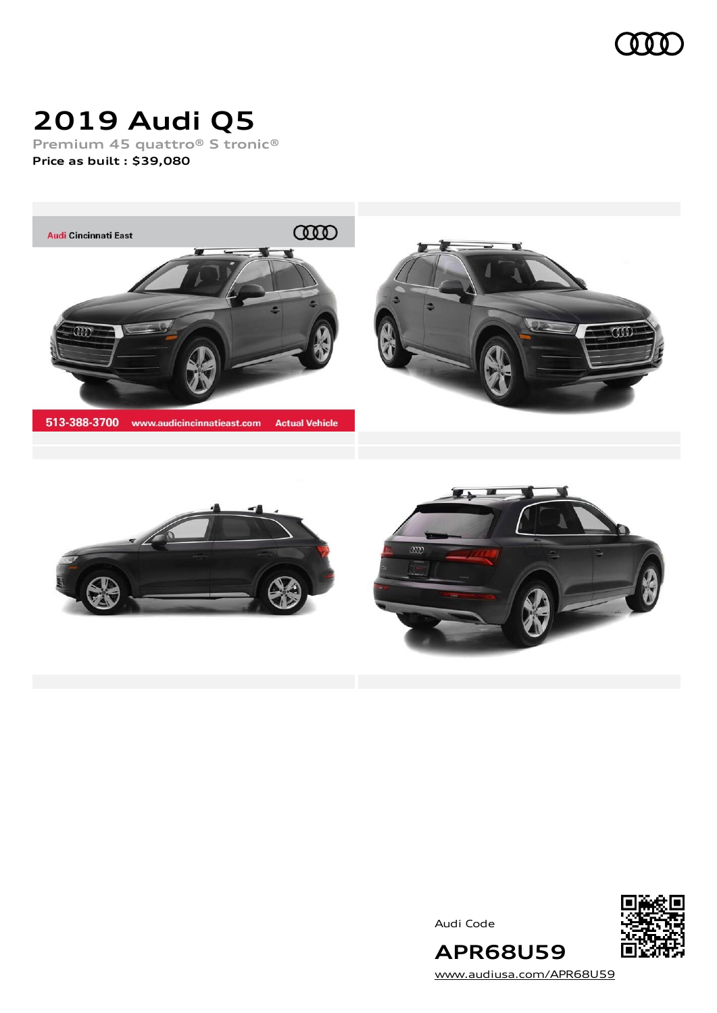

# **2019 Audi Q5**

**Premium 45 quattro® S tronic®**

**Price as built [:](#page-11-0) \$39,080**







Audi Code



[www.audiusa.com/APR68U59](https://www.audiusa.com/APR68U59)

**APR68U59**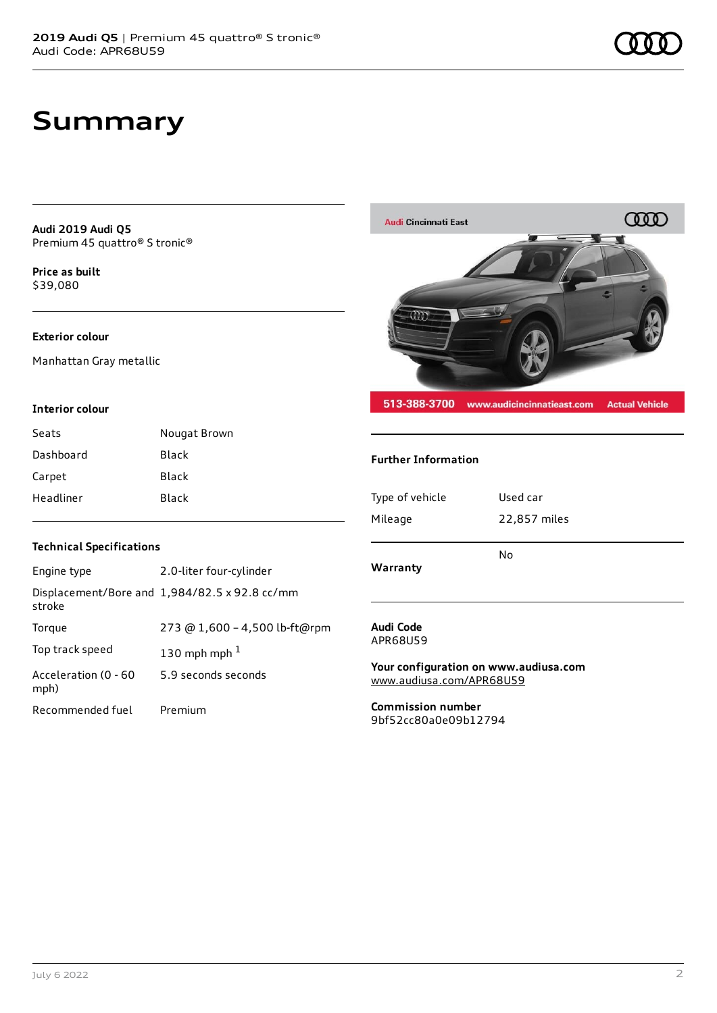**Audi 2019 Audi Q5** Premium 45 quattro® S tronic®

**Price as buil[t](#page-11-0)** \$39,080

#### **Exterior colour**

Manhattan Gray metallic

#### **Interior colour**

| Seats     | Nougat Brown |
|-----------|--------------|
| Dashboard | Black        |
| Carpet    | Black        |
| Headliner | Black        |



### **Further Information**

| Type of vehicle | Used car     |
|-----------------|--------------|
| Mileage         | 22,857 miles |
| Warranty        | No           |

### **Technical Specifications**

| Engine type                  | 2.0-liter four-cylinder                       |
|------------------------------|-----------------------------------------------|
| stroke                       | Displacement/Bore and 1,984/82.5 x 92.8 cc/mm |
| Torque                       | 273 @ 1,600 - 4,500 lb-ft@rpm                 |
| Top track speed              | 130 mph mph $1$                               |
| Acceleration (0 - 60<br>mph) | 5.9 seconds seconds                           |
| Recommended fuel             | Premium                                       |

#### **Audi Code** APR68U59

**Your configuration on www.audiusa.com** [www.audiusa.com/APR68U59](https://www.audiusa.com/APR68U59)

**Commission number** 9bf52cc80a0e09b12794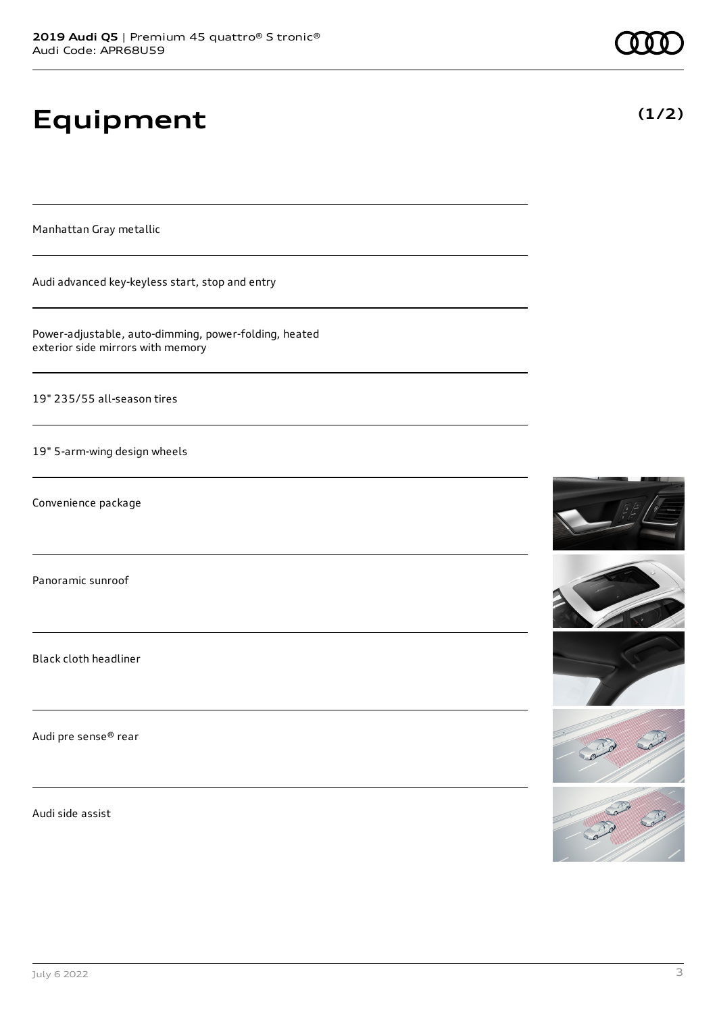# **Equipment**

Manhattan Gray metallic

Audi advanced key-keyless start, stop and entry

Power-adjustable, auto-dimming, power-folding, heated exterior side mirrors with memory

19" 235/55 all-season tires

19" 5-arm-wing design wheels

Convenience package

Panoramic sunroof

Black cloth headliner

Audi pre sense® rear

Audi side assist











**(1/2)**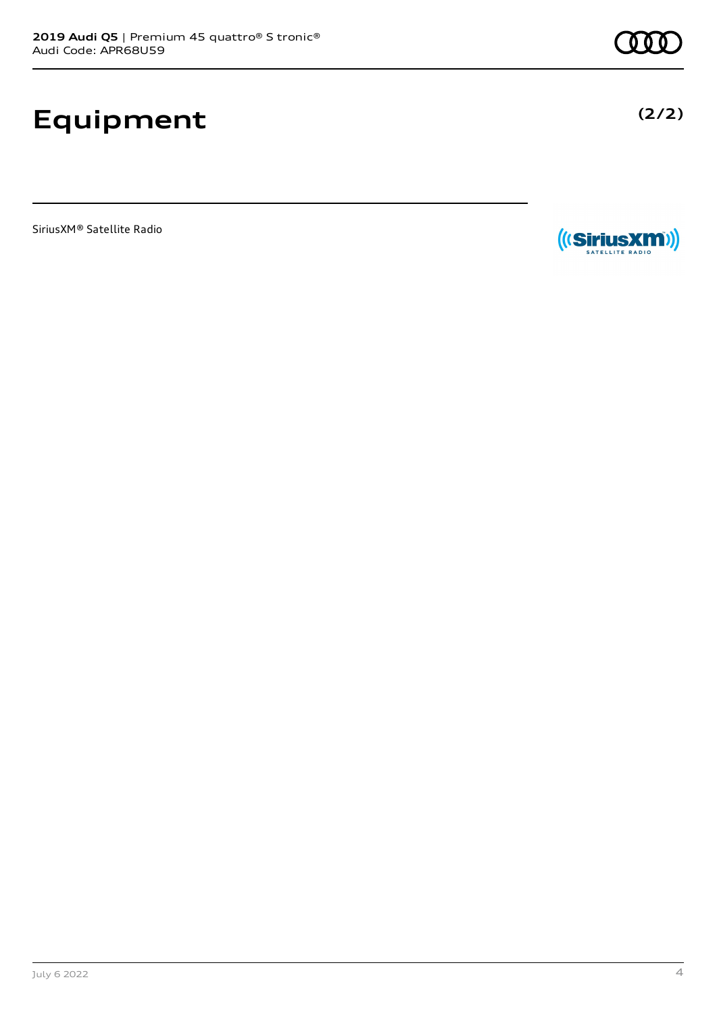# **Equipment**

SiriusXM® Satellite Radio



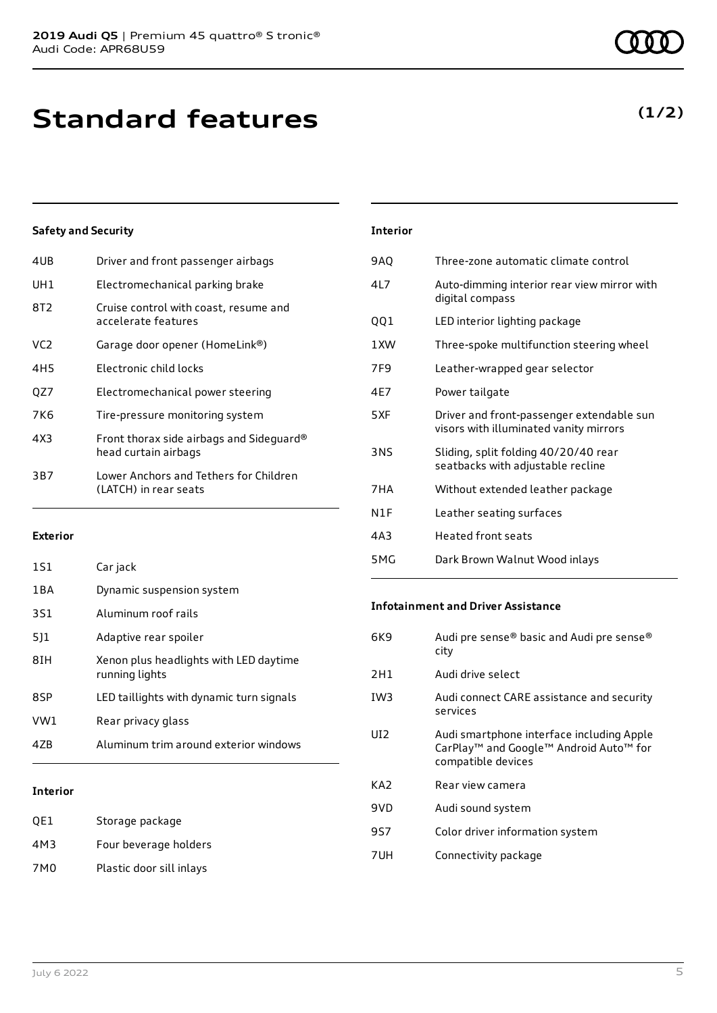**Standard features**

## **Safety and Security**

| 4UB             | Driver and front passenger airbags                               |
|-----------------|------------------------------------------------------------------|
| UH1             | Electromechanical parking brake                                  |
| 8T2             | Cruise control with coast, resume and<br>accelerate features     |
| VC <sub>2</sub> | Garage door opener (HomeLink®)                                   |
| 4H5             | Electronic child locks                                           |
| QZ7             | Electromechanical power steering                                 |
| 7K6             | Tire-pressure monitoring system                                  |
| 4X3             | Front thorax side airbags and Sideguard®<br>head curtain airbags |
| 3B7             | Lower Anchors and Tethers for Children<br>(LATCH) in rear seats  |
|                 |                                                                  |

#### **Exterior**

| 1S1   | Car jack                                                 |
|-------|----------------------------------------------------------|
| 1 B A | Dynamic suspension system                                |
| 3S1   | Aluminum roof rails                                      |
| 511   | Adaptive rear spoiler                                    |
| 81H   | Xenon plus headlights with LED daytime<br>running lights |
| 8SP   | LED taillights with dynamic turn signals                 |
| VW1   | Rear privacy glass                                       |
| 47B   | Aluminum trim around exterior windows                    |
|       |                                                          |

## **Interior**

| OE1 | Storage package          |
|-----|--------------------------|
| 4M3 | Four beverage holders    |
| 7M0 | Plastic door sill inlays |

| Interior |                                                                                     |
|----------|-------------------------------------------------------------------------------------|
| 9AO      | Three-zone automatic climate control                                                |
| 417      | Auto-dimming interior rear view mirror with<br>digital compass                      |
| QQ1      | LED interior lighting package                                                       |
| 1 XW     | Three-spoke multifunction steering wheel                                            |
| 7F9      | Leather-wrapped gear selector                                                       |
| 4E7      | Power tailgate                                                                      |
| 5XF      | Driver and front-passenger extendable sun<br>visors with illuminated vanity mirrors |
| 3NS      | Sliding, split folding 40/20/40 rear<br>seatbacks with adjustable recline           |
| 7HA      | Without extended leather package                                                    |
| N1F      | Leather seating surfaces                                                            |
| 4A3      | Heated front seats                                                                  |
| 5MG      | Dark Brown Walnut Wood inlays                                                       |

#### **Infotainment and Driver Assistance**

| 6K9             | Audi pre sense® basic and Audi pre sense®<br>city                                                                     |
|-----------------|-----------------------------------------------------------------------------------------------------------------------|
| 2H1             | Audi drive select                                                                                                     |
| IW <sub>3</sub> | Audi connect CARE assistance and security<br>services                                                                 |
| UI <sub>2</sub> | Audi smartphone interface including Apple<br>CarPlay <sup>™</sup> and Google™ Android Auto™ for<br>compatible devices |
| KA2             | Rear view camera                                                                                                      |
| 9VD             | Audi sound system                                                                                                     |
| 9S7             | Color driver information system                                                                                       |
| 7UH             | Connectivity package                                                                                                  |
|                 |                                                                                                                       |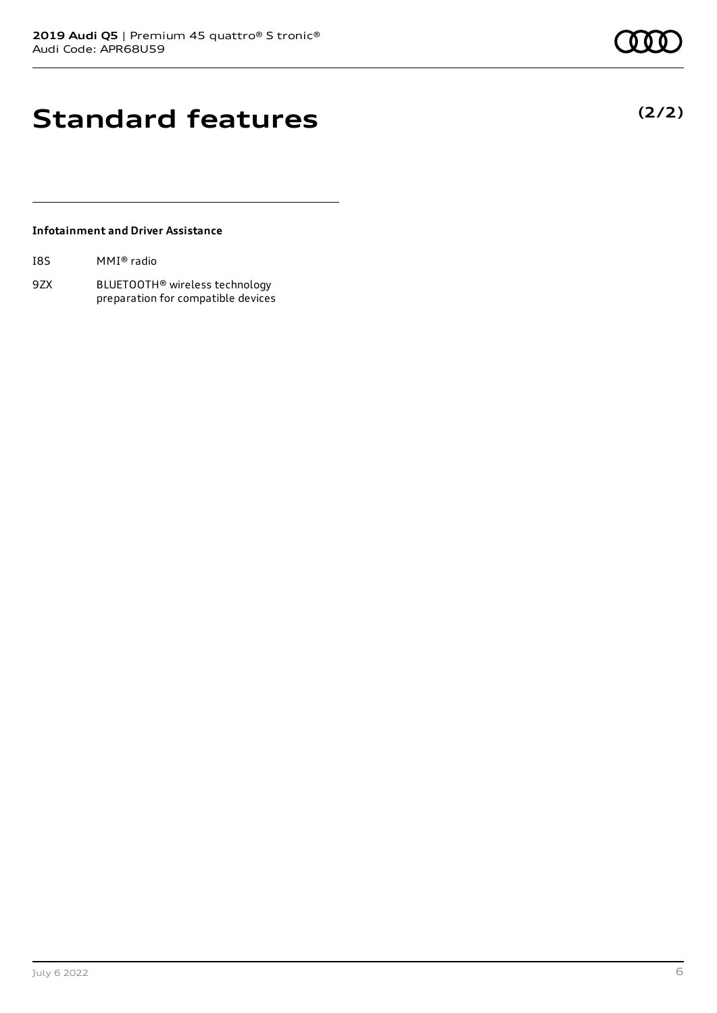## **Standard features**

### **Infotainment and Driver Assistance**

| I8S | MMI® radio |  |
|-----|------------|--|
|-----|------------|--|

9ZX BLUETOOTH® wireless technology preparation for compatible devices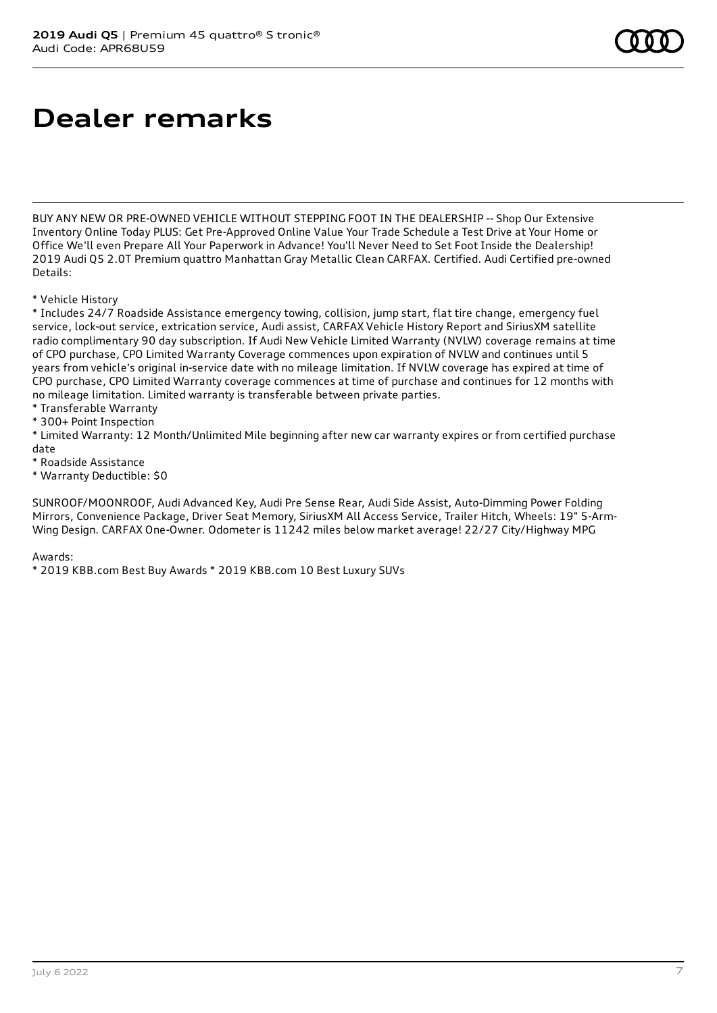## **Dealer remarks**

BUY ANY NEW OR PRE-OWNED VEHICLE WITHOUT STEPPING FOOT IN THE DEALERSHIP -- Shop Our Extensive Inventory Online Today PLUS: Get Pre-Approved Online Value Your Trade Schedule a Test Drive at Your Home or Office We'll even Prepare All Your Paperwork in Advance! You'll Never Need to Set Foot Inside the Dealership! 2019 Audi Q5 2.0T Premium quattro Manhattan Gray Metallic Clean CARFAX. Certified. Audi Certified pre-owned Details:

#### \* Vehicle History

\* Includes 24/7 Roadside Assistance emergency towing, collision, jump start, flat tire change, emergency fuel service, lock-out service, extrication service, Audi assist, CARFAX Vehicle History Report and SiriusXM satellite radio complimentary 90 day subscription. If Audi New Vehicle Limited Warranty (NVLW) coverage remains at time of CPO purchase, CPO Limited Warranty Coverage commences upon expiration of NVLW and continues until 5 years from vehicle's original in-service date with no mileage limitation. If NVLW coverage has expired at time of CPO purchase, CPO Limited Warranty coverage commences at time of purchase and continues for 12 months with no mileage limitation. Limited warranty is transferable between private parties.

- \* Transferable Warranty
- \* 300+ Point Inspection

\* Limited Warranty: 12 Month/Unlimited Mile beginning after new car warranty expires or from certified purchase date

\* Roadside Assistance

\* Warranty Deductible: \$0

SUNROOF/MOONROOF, Audi Advanced Key, Audi Pre Sense Rear, Audi Side Assist, Auto-Dimming Power Folding Mirrors, Convenience Package, Driver Seat Memory, SiriusXM All Access Service, Trailer Hitch, Wheels: 19" 5-Arm-Wing Design. CARFAX One-Owner. Odometer is 11242 miles below market average! 22/27 City/Highway MPG

#### Awards:

\* 2019 KBB.com Best Buy Awards \* 2019 KBB.com 10 Best Luxury SUVs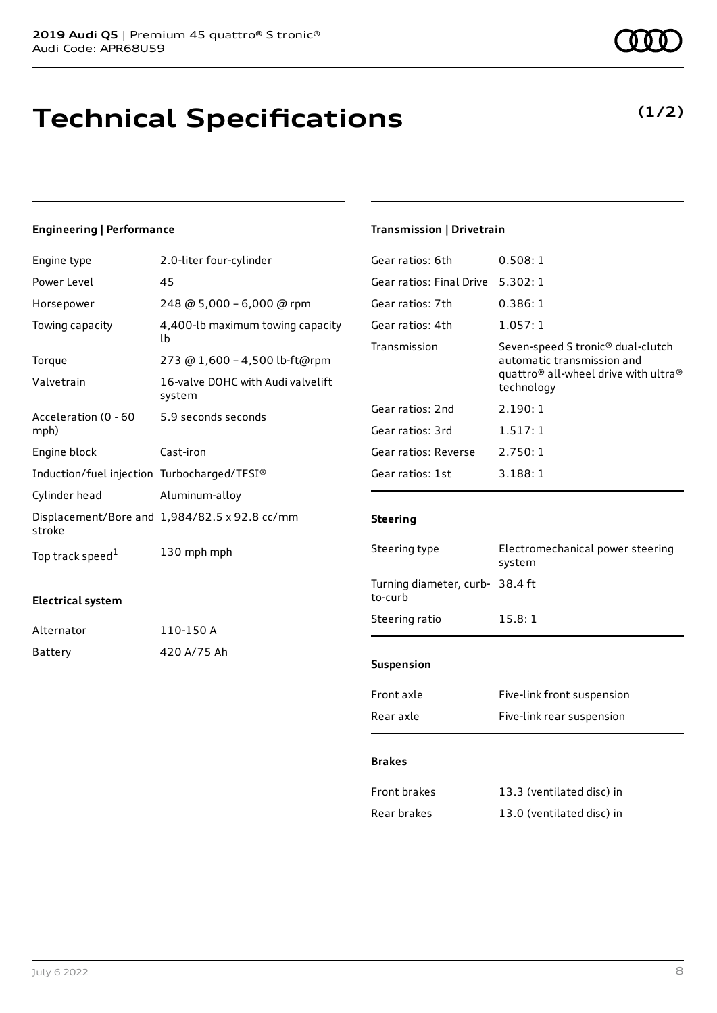## **Technical Specifications**

### **Engineering | Performance**

| Engine type                                 | 2.0-liter four-cylinder                       |
|---------------------------------------------|-----------------------------------------------|
| Power Level                                 | 45                                            |
| Horsepower                                  | 248 @ 5,000 - 6,000 @ rpm                     |
| Towing capacity                             | 4,400-lb maximum towing capacity<br>lb        |
| Torque                                      | 273 @ 1,600 - 4,500 lb-ft@rpm                 |
| Valvetrain                                  | 16-valve DOHC with Audi valvelift<br>system   |
| Acceleration (0 - 60<br>mph)                | 5.9 seconds seconds                           |
| Engine block                                | Cast-iron                                     |
| Induction/fuel injection Turbocharged/TFSI® |                                               |
| Cylinder head                               | Aluminum-alloy                                |
| stroke                                      | Displacement/Bore and 1,984/82.5 x 92.8 cc/mm |
| Top track speed <sup>1</sup>                | 130 mph mph                                   |

### **Electrical system**

| Alternator | 110-150 A   |
|------------|-------------|
| Battery    | 420 A/75 Ah |

### **Transmission | Drivetrain**

| Gear ratios: 6th         | 0.508:1                                                                                                                                                   |
|--------------------------|-----------------------------------------------------------------------------------------------------------------------------------------------------------|
| Gear ratios: Final Drive | 5.302:1                                                                                                                                                   |
| Gear ratios: 7th         | 0.386:1                                                                                                                                                   |
| Gear ratios: 4th         | 1.057:1                                                                                                                                                   |
| Transmission             | Seven-speed S tronic <sup>®</sup> dual-clutch<br>automatic transmission and<br>quattro <sup>®</sup> all-wheel drive with ultra <sup>®</sup><br>technology |
| Gear ratios: 2nd         | 2.190:1                                                                                                                                                   |
| Gear ratios: 3rd         | 1.517:1                                                                                                                                                   |
| Gear ratios: Reverse     | 2.750:1                                                                                                                                                   |
| Gear ratios: 1st         | 3.188:1                                                                                                                                                   |
|                          |                                                                                                                                                           |

#### **Steering**

| <b>Suspension</b>                         |                                            |
|-------------------------------------------|--------------------------------------------|
| Steering ratio                            | 15.8:1                                     |
| Turning diameter, curb-38.4 ft<br>to-curb |                                            |
| Steering type                             | Electromechanical power steering<br>system |

| Front axle | Five-link front suspension |
|------------|----------------------------|
| Rear axle  | Five-link rear suspension  |

#### **Brakes**

| Front brakes | 13.3 (ventilated disc) in |
|--------------|---------------------------|
| Rear brakes  | 13.0 (ventilated disc) in |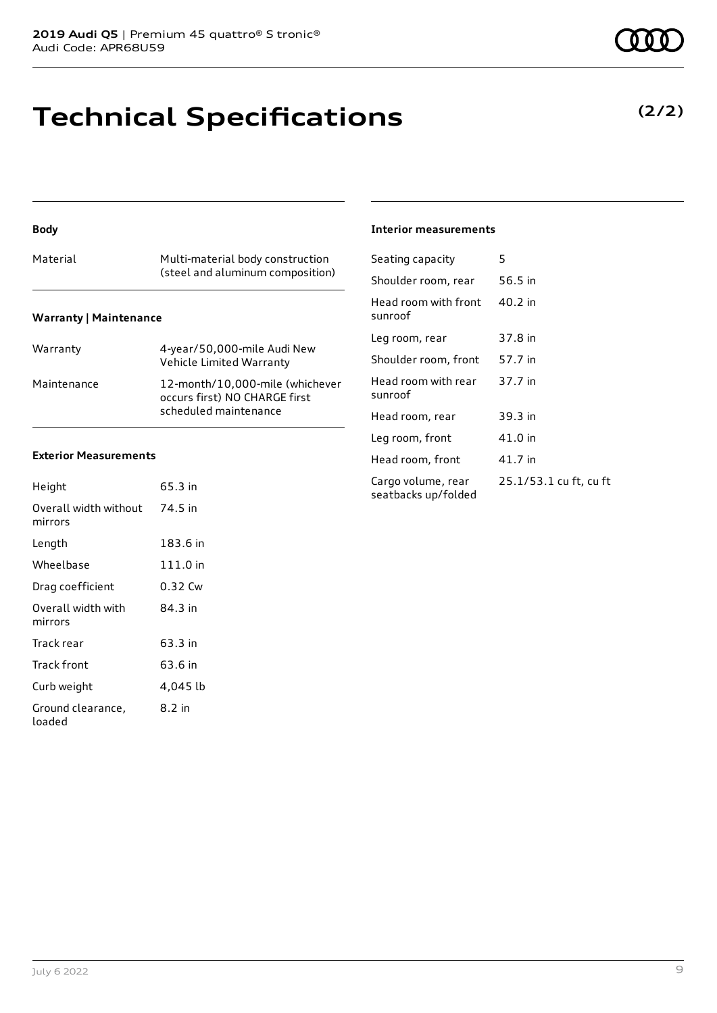## **Technical Specifications**

| Material               | Multi-material body construction<br>(steel and aluminum composition)                      |
|------------------------|-------------------------------------------------------------------------------------------|
| Warranty   Maintenance |                                                                                           |
| Warranty               | 4-year/50,000-mile Audi New<br>Vehicle Limited Warranty                                   |
| Maintenance            | 12-month/10,000-mile (whichever<br>occurs first) NO CHARGE first<br>scheduled maintenance |

#### **Exterior Measurements**

**Body**

| Height                           | 65.3 in  |
|----------------------------------|----------|
| Overall width without<br>mirrors | 74.5 in  |
| Length                           | 183.6 in |
| Wheelbase                        | 111.0 in |
| Drag coefficient                 | 0.32 Cw  |
| Overall width with<br>mirrors    | 84.3 in  |
| Track rear                       | 63.3 in  |
| Track front                      | 63.6 in  |
| Curb weight                      | 4,045 lb |
| Ground clearance,<br>loaded      | 8.2 in   |

#### **Interior measurements**

| Seating capacity                          | 5                      |
|-------------------------------------------|------------------------|
| Shoulder room, rear                       | 56.5 in                |
| Head room with front<br>sunroof           | 40.2 in                |
| Leg room, rear                            | 37.8 in                |
| Shoulder room, front                      | 57.7 in                |
| Head room with rear<br>sunroof            | 37.7 in                |
| Head room, rear                           | 39.3 in                |
| Leg room, front                           | 41.0 in                |
| Head room, front                          | 41.7 in                |
| Cargo volume, rear<br>seatbacks up/folded | 25.1/53.1 cu ft, cu ft |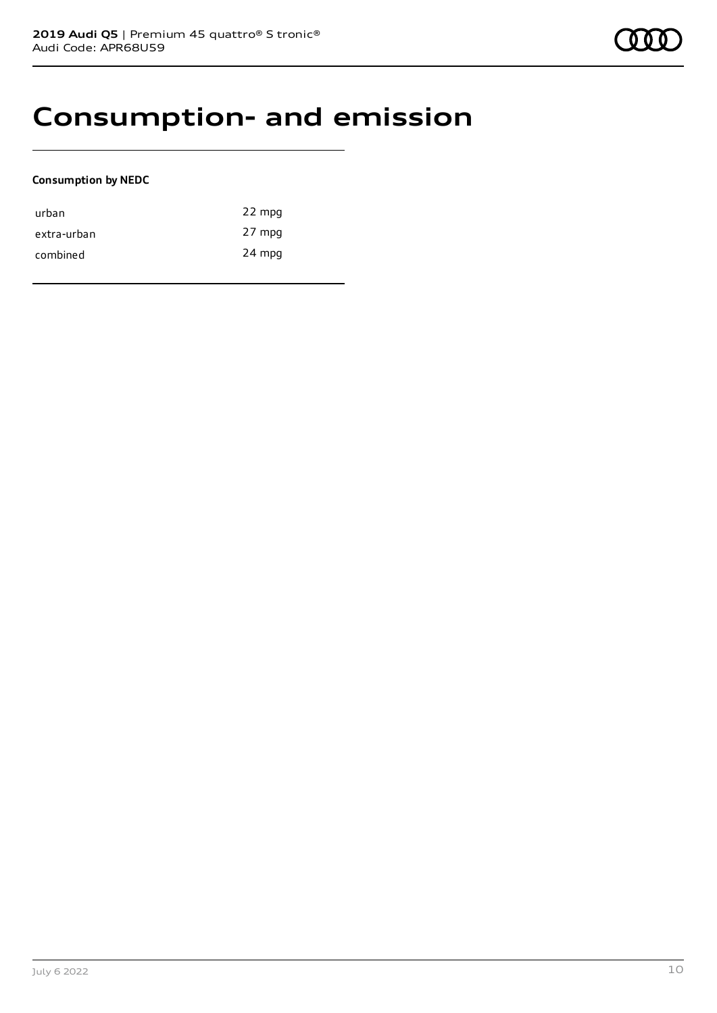## **Consumption- and emission**

### **Consumption by NEDC**

| urban       | 22 mpg |
|-------------|--------|
| extra-urban | 27 mpg |
| combined    | 24 mpg |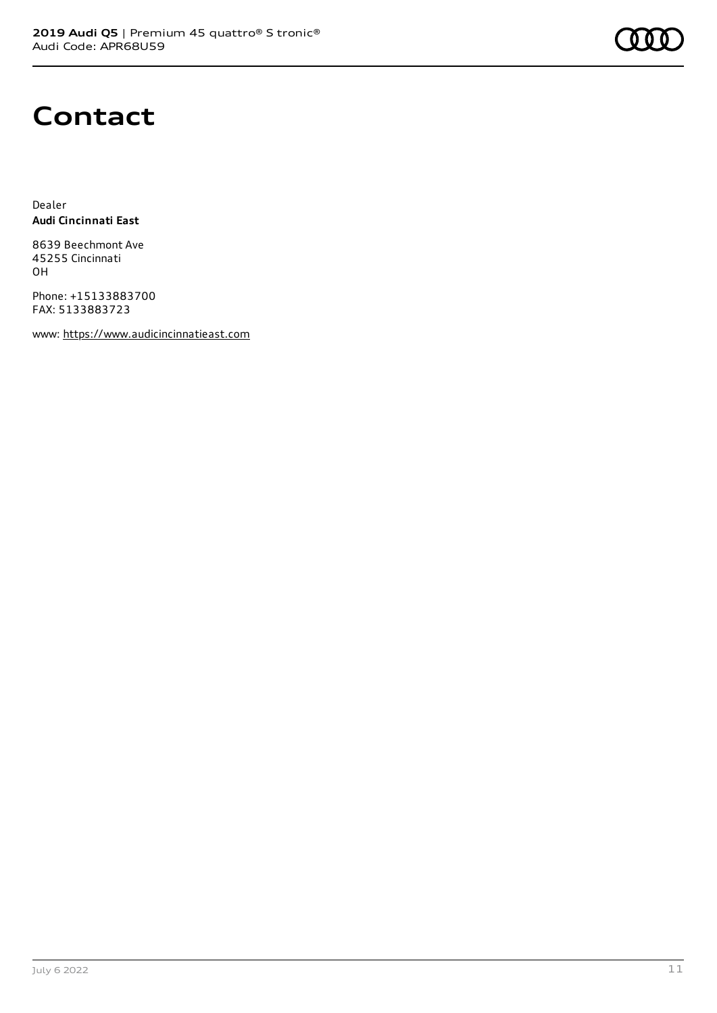

## **Contact**

Dealer **Audi Cincinnati East**

8639 Beechmont Ave 45255 Cincinnati OH

Phone: +15133883700 FAX: 5133883723

www: [https://www.audicincinnatieast.com](https://www.audicincinnatieast.com/)